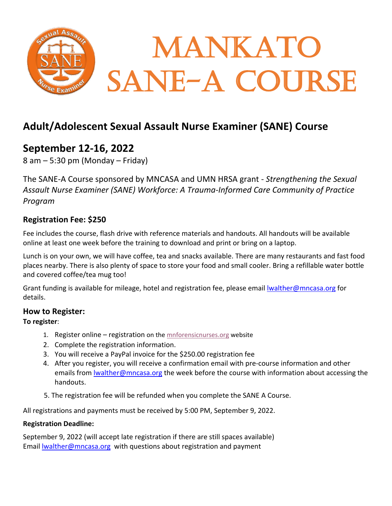

# **Adult/Adolescent Sexual Assault Nurse Examiner (SANE) Course**

## **September 12-16, 2022**

 $8$  am  $-5:30$  pm (Monday  $-$  Friday)

The SANE-A Course sponsored by MNCASA and UMN HRSA grant - *Strengthening the Sexual Assault Nurse Examiner (SANE) Workforce: A Trauma-Informed Care Community of Practice Program* 

## **Registration Fee: \$250**

Fee includes the course, flash drive with reference materials and handouts. All handouts will be available online at least one week before the training to download and print or bring on a laptop.

Lunch is on your own, we will have coffee, tea and snacks available. There are many restaurants and fast food places nearby. There is also plenty of space to store your food and small cooler. Bring a refillable water bottle and covered coffee/tea mug too!

Grant funding is available for mileage, hotel and registration fee, please email [lwalther@mncasa.org](mailto:lwalther@mncasa.org) for details.

#### **How to Register:**

#### **To register**:

- 1. Register online registration on th[e mnforensicnurses.org](https://mnforensicnurses.org/) website
- 2. Complete the registration information.
- 3. You will receive a PayPal invoice for the \$250.00 registration fee
- 4. After you register, you will receive a confirmation email with pre-course information and other emails from Iwalther@mncasa.org the week before the course with information about accessing the handouts.
- 5. The registration fee will be refunded when you complete the SANE A Course.

All registrations and payments must be received by 5:00 PM, September 9, 2022.

#### **Registration Deadline:**

September 9, 2022 (will accept late registration if there are still spaces available) Email Iwalther@mncasa.org with questions about registration and payment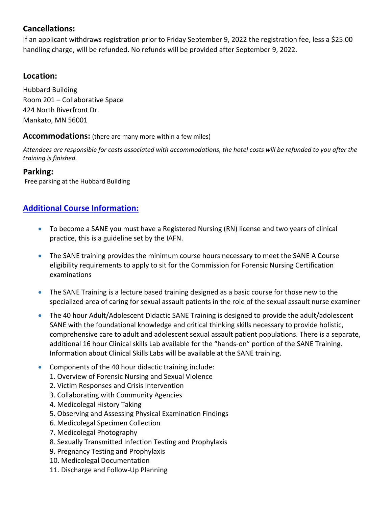## **Cancellations:**

If an applicant withdraws registration prior to Friday September 9, 2022 the registration fee, less a \$25.00 handling charge, will be refunded. No refunds will be provided after September 9, 2022.

#### **Location:**

Hubbard Building Room 201 – Collaborative Space 424 North Riverfront Dr. Mankato, MN 56001

#### **Accommodations:** (there are many more within a few miles)

*Attendees are responsible for costs associated with accommodations, the hotel costs will be refunded to you after the training is finished.*

## **Parking:**

Free parking at the Hubbard Building

## **Additional Course Information:**

- To become a SANE you must have a Registered Nursing (RN) license and two years of clinical practice, this is a guideline set by the IAFN.
- The SANE training provides the minimum course hours necessary to meet the SANE A Course eligibility requirements to apply to sit for the Commission for Forensic Nursing Certification examinations
- The SANE Training is a lecture based training designed as a basic course for those new to the specialized area of caring for sexual assault patients in the role of the sexual assault nurse examiner
- The 40 hour Adult/Adolescent Didactic SANE Training is designed to provide the adult/adolescent SANE with the foundational knowledge and critical thinking skills necessary to provide holistic, comprehensive care to adult and adolescent sexual assault patient populations. There is a separate, additional 16 hour Clinical skills Lab available for the "hands-on" portion of the SANE Training. Information about Clinical Skills Labs will be available at the SANE training.
- Components of the 40 hour didactic training include:
	- 1. Overview of Forensic Nursing and Sexual Violence
	- 2. Victim Responses and Crisis Intervention
	- 3. Collaborating with Community Agencies
	- 4. Medicolegal History Taking
	- 5. Observing and Assessing Physical Examination Findings
	- 6. Medicolegal Specimen Collection
	- 7. Medicolegal Photography
	- 8. Sexually Transmitted Infection Testing and Prophylaxis
	- 9. Pregnancy Testing and Prophylaxis
	- 10. Medicolegal Documentation
	- 11. Discharge and Follow-Up Planning